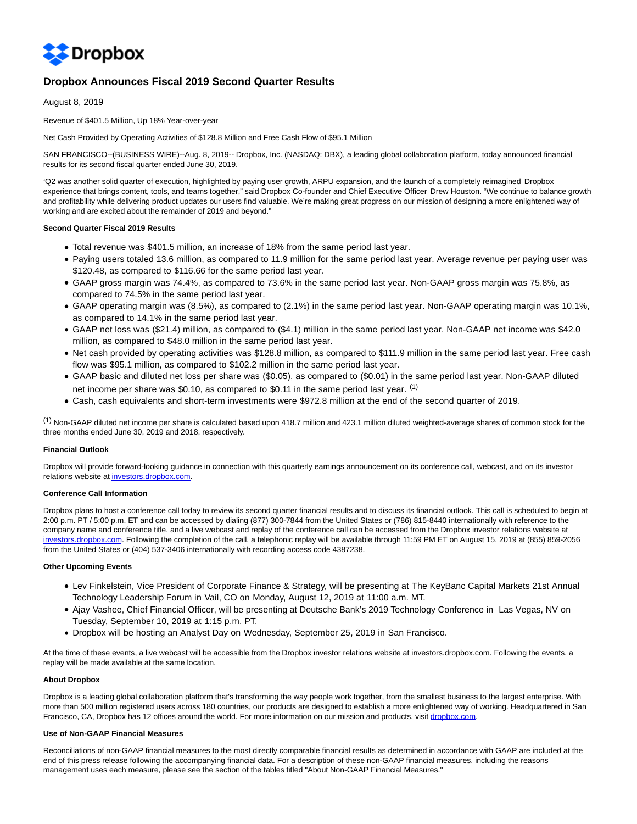

# **Dropbox Announces Fiscal 2019 Second Quarter Results**

August 8, 2019

Revenue of \$401.5 Million, Up 18% Year-over-year

Net Cash Provided by Operating Activities of \$128.8 Million and Free Cash Flow of \$95.1 Million

SAN FRANCISCO--(BUSINESS WIRE)--Aug. 8, 2019-- Dropbox, Inc. (NASDAQ: DBX), a leading global collaboration platform, today announced financial results for its second fiscal quarter ended June 30, 2019.

"Q2 was another solid quarter of execution, highlighted by paying user growth, ARPU expansion, and the launch of a completely reimagined Dropbox experience that brings content, tools, and teams together," said Dropbox Co-founder and Chief Executive Officer Drew Houston. "We continue to balance growth and profitability while delivering product updates our users find valuable. We're making great progress on our mission of designing a more enlightened way of working and are excited about the remainder of 2019 and beyond."

### **Second Quarter Fiscal 2019 Results**

- Total revenue was \$401.5 million, an increase of 18% from the same period last year.
- Paying users totaled 13.6 million, as compared to 11.9 million for the same period last year. Average revenue per paying user was \$120.48, as compared to \$116.66 for the same period last year.
- GAAP gross margin was 74.4%, as compared to 73.6% in the same period last year. Non-GAAP gross margin was 75.8%, as compared to 74.5% in the same period last year.
- GAAP operating margin was (8.5%), as compared to (2.1%) in the same period last year. Non-GAAP operating margin was 10.1%, as compared to 14.1% in the same period last year.
- GAAP net loss was (\$21.4) million, as compared to (\$4.1) million in the same period last year. Non-GAAP net income was \$42.0 million, as compared to \$48.0 million in the same period last year.
- Net cash provided by operating activities was \$128.8 million, as compared to \$111.9 million in the same period last year. Free cash flow was \$95.1 million, as compared to \$102.2 million in the same period last year.
- GAAP basic and diluted net loss per share was (\$0.05), as compared to (\$0.01) in the same period last year. Non-GAAP diluted net income per share was \$0.10, as compared to \$0.11 in the same period last year. (1)
- Cash, cash equivalents and short-term investments were \$972.8 million at the end of the second quarter of 2019.

 $(1)$  Non-GAAP diluted net income per share is calculated based upon 418.7 million and 423.1 million diluted weighted-average shares of common stock for the three months ended June 30, 2019 and 2018, respectively.

### **Financial Outlook**

Dropbox will provide forward-looking guidance in connection with this quarterly earnings announcement on its conference call, webcast, and on its investor relations website at [investors.dropbox.com.](https://cts.businesswire.com/ct/CT?id=smartlink&url=https%3A%2F%2Finvestors.dropbox.com%2F&esheet=52075914&newsitemid=20190808005716&lan=en-US&anchor=investors.dropbox.com&index=1&md5=c9768392b7a2125d6491b9198bbe96e5)

### **Conference Call Information**

Dropbox plans to host a conference call today to review its second quarter financial results and to discuss its financial outlook. This call is scheduled to begin at 2:00 p.m. PT / 5:00 p.m. ET and can be accessed by dialing (877) 300-7844 from the United States or (786) 815-8440 internationally with reference to the company name and conference title, and a live webcast and replay of the conference call can be accessed from the Dropbox investor relations website at [investors.dropbox.com.](https://cts.businesswire.com/ct/CT?id=smartlink&url=https%3A%2F%2Finvestors.dropbox.com%2F&esheet=52075914&newsitemid=20190808005716&lan=en-US&anchor=investors.dropbox.com&index=2&md5=7f8b0788a850072ff0f1c85a66da0267) Following the completion of the call, a telephonic replay will be available through 11:59 PM ET on August 15, 2019 at (855) 859-2056 from the United States or (404) 537-3406 internationally with recording access code 4387238.

### **Other Upcoming Events**

- Lev Finkelstein, Vice President of Corporate Finance & Strategy, will be presenting at The KeyBanc Capital Markets 21st Annual Technology Leadership Forum in Vail, CO on Monday, August 12, 2019 at 11:00 a.m. MT.
- Ajay Vashee, Chief Financial Officer, will be presenting at Deutsche Bank's 2019 Technology Conference in Las Vegas, NV on Tuesday, September 10, 2019 at 1:15 p.m. PT.
- Dropbox will be hosting an Analyst Day on Wednesday, September 25, 2019 in San Francisco.

At the time of these events, a live webcast will be accessible from the Dropbox investor relations website at investors.dropbox.com. Following the events, a replay will be made available at the same location.

### **About Dropbox**

Dropbox is a leading global collaboration platform that's transforming the way people work together, from the smallest business to the largest enterprise. With more than 500 million registered users across 180 countries, our products are designed to establish a more enlightened way of working. Headquartered in San Francisco, CA, Dropbox has 12 offices around the world. For more information on our mission and products, visi[t dropbox.com.](https://cts.businesswire.com/ct/CT?id=smartlink&url=https%3A%2F%2Fwww.dropbox.com&esheet=52075914&newsitemid=20190808005716&lan=en-US&anchor=dropbox.com&index=3&md5=fddc5e0dd68571d6e22ecd2ea63f2b64)

### **Use of Non-GAAP Financial Measures**

Reconciliations of non-GAAP financial measures to the most directly comparable financial results as determined in accordance with GAAP are included at the end of this press release following the accompanying financial data. For a description of these non-GAAP financial measures, including the reasons management uses each measure, please see the section of the tables titled "About Non-GAAP Financial Measures."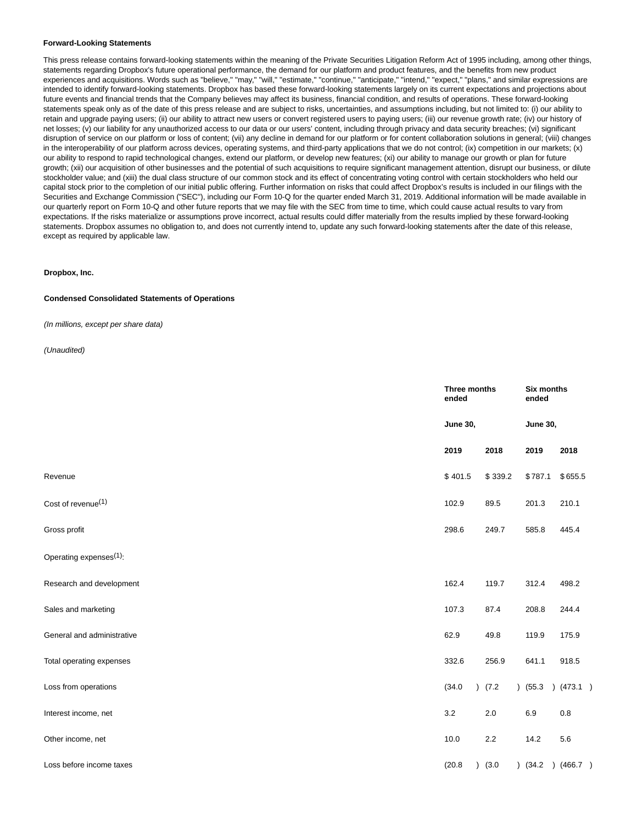#### **Forward-Looking Statements**

This press release contains forward-looking statements within the meaning of the Private Securities Litigation Reform Act of 1995 including, among other things, statements regarding Dropbox's future operational performance, the demand for our platform and product features, and the benefits from new product experiences and acquisitions. Words such as "believe," "may," "will," "estimate," "continue," "anticipate," "intend," "expect," "plans," and similar expressions are intended to identify forward-looking statements. Dropbox has based these forward-looking statements largely on its current expectations and projections about future events and financial trends that the Company believes may affect its business, financial condition, and results of operations. These forward-looking statements speak only as of the date of this press release and are subject to risks, uncertainties, and assumptions including, but not limited to: (i) our ability to retain and upgrade paying users; (ii) our ability to attract new users or convert registered users to paying users; (iii) our revenue growth rate; (iv) our history of net losses; (v) our liability for any unauthorized access to our data or our users' content, including through privacy and data security breaches; (vi) significant disruption of service on our platform or loss of content; (vii) any decline in demand for our platform or for content collaboration solutions in general; (viii) changes in the interoperability of our platform across devices, operating systems, and third-party applications that we do not control; (ix) competition in our markets; (x) our ability to respond to rapid technological changes, extend our platform, or develop new features; (xi) our ability to manage our growth or plan for future growth; (xii) our acquisition of other businesses and the potential of such acquisitions to require significant management attention, disrupt our business, or dilute stockholder value; and (xiii) the dual class structure of our common stock and its effect of concentrating voting control with certain stockholders who held our capital stock prior to the completion of our initial public offering. Further information on risks that could affect Dropbox's results is included in our filings with the Securities and Exchange Commission ("SEC"), including our Form 10-Q for the quarter ended March 31, 2019. Additional information will be made available in our quarterly report on Form 10-Q and other future reports that we may file with the SEC from time to time, which could cause actual results to vary from expectations. If the risks materialize or assumptions prove incorrect, actual results could differ materially from the results implied by these forward-looking statements. Dropbox assumes no obligation to, and does not currently intend to, update any such forward-looking statements after the date of this release, except as required by applicable law.

### **Dropbox, Inc.**

#### **Condensed Consolidated Statements of Operations**

(In millions, except per share data)

|                                     | Three months<br>ended |          | Six months<br>ended |                    |
|-------------------------------------|-----------------------|----------|---------------------|--------------------|
|                                     | <b>June 30,</b>       |          | <b>June 30,</b>     |                    |
|                                     | 2019                  | 2018     | 2019                | 2018               |
| Revenue                             | \$401.5               | \$339.2  | \$787.1             | \$655.5            |
| Cost of revenue <sup>(1)</sup>      | 102.9                 | 89.5     | 201.3               | 210.1              |
| Gross profit                        | 298.6                 | 249.7    | 585.8               | 445.4              |
| Operating expenses <sup>(1)</sup> : |                       |          |                     |                    |
| Research and development            | 162.4                 | 119.7    | 312.4               | 498.2              |
| Sales and marketing                 | 107.3                 | 87.4     | 208.8               | 244.4              |
| General and administrative          | 62.9                  | 49.8     | 119.9               | 175.9              |
| Total operating expenses            | 332.6                 | 256.9    | 641.1               | 918.5              |
| Loss from operations                | (34.0)                | ) (7.2)  | (55.3)              | (473.1)            |
| Interest income, net                | 3.2                   | 2.0      | 6.9                 | 0.8                |
| Other income, net                   | 10.0                  | $2.2\,$  | 14.2                | 5.6                |
| Loss before income taxes            | (20.8)                | $)$ (3.0 |                     | $(34.2)$ $(466.7)$ |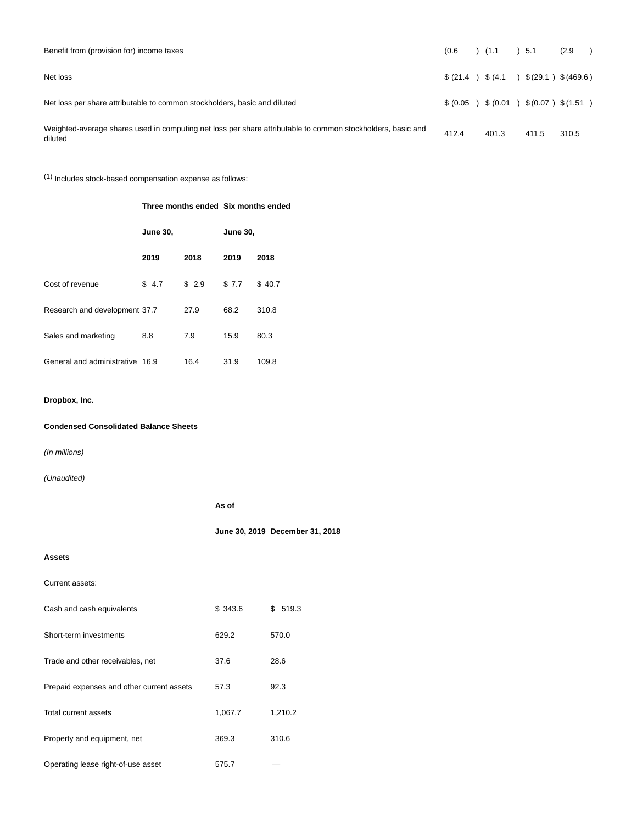| Benefit from (provision for) income taxes                                                                              | (0.6) | $(1.1)$ 5.1 |                                           | (2.9  |  |
|------------------------------------------------------------------------------------------------------------------------|-------|-------------|-------------------------------------------|-------|--|
| Net loss                                                                                                               |       |             | $$ (21.4 ) $ (4.1 ) $ (29.1 ) $ (469.6)$  |       |  |
| Net loss per share attributable to common stockholders, basic and diluted                                              |       |             | $$ (0.05 ) $ (0.01 ) $ (0.07 ) $ (1.51 )$ |       |  |
| Weighted-average shares used in computing net loss per share attributable to common stockholders, basic and<br>diluted | 412.4 | 401.3       | 411.5                                     | 310.5 |  |

(1) Includes stock-based compensation expense as follows:

|                                 |                 |       | Three months ended Six months ended |        |  |  |  |  |
|---------------------------------|-----------------|-------|-------------------------------------|--------|--|--|--|--|
|                                 | <b>June 30.</b> |       | <b>June 30,</b>                     |        |  |  |  |  |
|                                 | 2019            | 2018  | 2019                                | 2018   |  |  |  |  |
| Cost of revenue                 | \$4.7           | \$2.9 | \$7.7                               | \$40.7 |  |  |  |  |
| Research and development 37.7   |                 | 27.9  | 68.2                                | 310.8  |  |  |  |  |
| Sales and marketing             | 8.8             | 7.9   | 15.9                                | 80.3   |  |  |  |  |
| General and administrative 16.9 |                 | 16.4  | 31.9                                | 109.8  |  |  |  |  |

# **Dropbox, Inc.**

## **Condensed Consolidated Balance Sheets**

(In millions)

(Unaudited)

### **As of**

**June 30, 2019 December 31, 2018**

### **Assets**

Current assets:

| Cash and cash equivalents                 | \$ 343.6 | 519.3<br>S. |
|-------------------------------------------|----------|-------------|
| Short-term investments                    | 629.2    | 570.0       |
| Trade and other receivables, net          | 37.6     | 28.6        |
| Prepaid expenses and other current assets | 57.3     | 92.3        |
| Total current assets                      | 1,067.7  | 1,210.2     |
| Property and equipment, net               | 369.3    | 310.6       |
| Operating lease right-of-use asset        | 575.7    |             |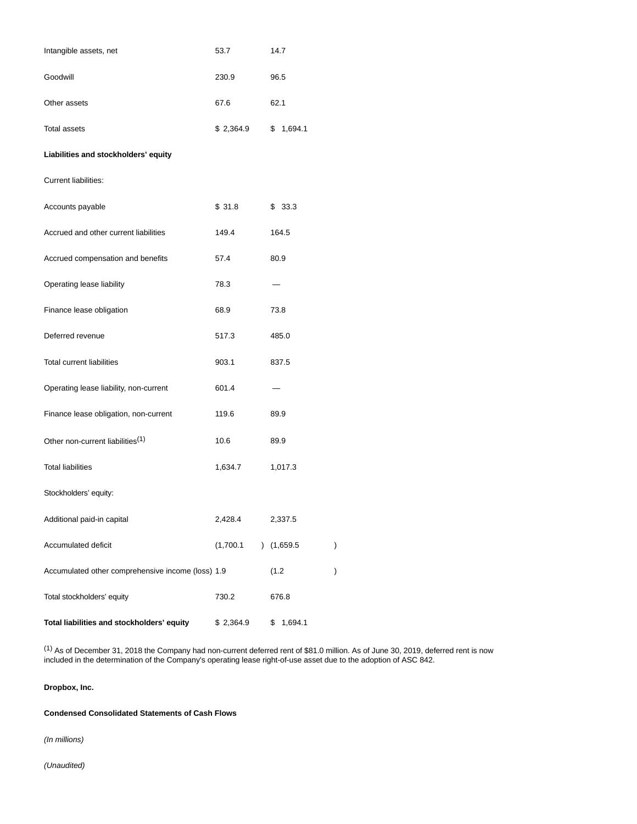| Intangible assets, net                            | 53.7      | 14.7                       |
|---------------------------------------------------|-----------|----------------------------|
| Goodwill                                          | 230.9     | 96.5                       |
| Other assets                                      | 67.6      | 62.1                       |
| <b>Total assets</b>                               | \$2,364.9 | \$1,694.1                  |
| Liabilities and stockholders' equity              |           |                            |
| <b>Current liabilities:</b>                       |           |                            |
| Accounts payable                                  | \$31.8    | \$33.3                     |
| Accrued and other current liabilities             | 149.4     | 164.5                      |
| Accrued compensation and benefits                 | 57.4      | 80.9                       |
| Operating lease liability                         | 78.3      |                            |
| Finance lease obligation                          | 68.9      | 73.8                       |
| Deferred revenue                                  | 517.3     | 485.0                      |
| <b>Total current liabilities</b>                  | 903.1     | 837.5                      |
| Operating lease liability, non-current            | 601.4     |                            |
| Finance lease obligation, non-current             | 119.6     | 89.9                       |
| Other non-current liabilities <sup>(1)</sup>      | 10.6      | 89.9                       |
| <b>Total liabilities</b>                          | 1,634.7   | 1,017.3                    |
| Stockholders' equity:                             |           |                            |
| Additional paid-in capital                        | 2,428.4   | 2,337.5                    |
| Accumulated deficit                               | (1,700.1) | (1,659.5)<br>$\mathcal{E}$ |
| Accumulated other comprehensive income (loss) 1.9 |           | (1.2)<br>)                 |
| Total stockholders' equity                        | 730.2     | 676.8                      |
| Total liabilities and stockholders' equity        | \$2,364.9 | 1,694.1<br>\$              |

 $(1)$  As of December 31, 2018 the Company had non-current deferred rent of \$81.0 million. As of June 30, 2019, deferred rent is now included in the determination of the Company's operating lease right-of-use asset due to the adoption of ASC 842.

# **Dropbox, Inc.**

### **Condensed Consolidated Statements of Cash Flows**

(In millions)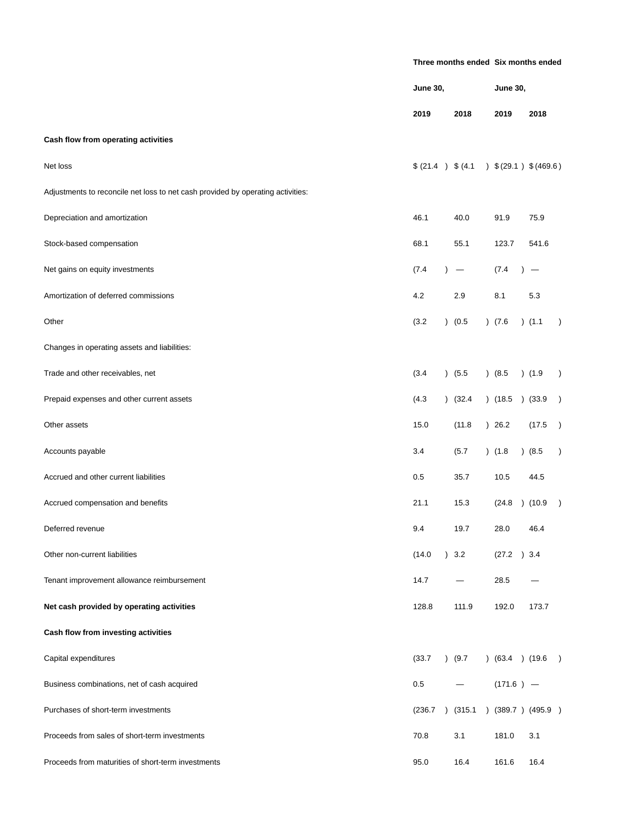|                                                                                 | Three months ended Six months ended |  |                          |  |                                  |  |            |               |
|---------------------------------------------------------------------------------|-------------------------------------|--|--------------------------|--|----------------------------------|--|------------|---------------|
|                                                                                 | June 30,                            |  |                          |  | June 30,                         |  |            |               |
|                                                                                 | 2019                                |  | 2018                     |  | 2019                             |  | 2018       |               |
| Cash flow from operating activities                                             |                                     |  |                          |  |                                  |  |            |               |
| Net loss                                                                        | \$ (21.4 ) \$ (4.1)                 |  |                          |  | $\frac{1}{2}$ \$(29.1) \$(469.6) |  |            |               |
| Adjustments to reconcile net loss to net cash provided by operating activities: |                                     |  |                          |  |                                  |  |            |               |
| Depreciation and amortization                                                   | 46.1                                |  | 40.0                     |  | 91.9                             |  | 75.9       |               |
| Stock-based compensation                                                        | 68.1                                |  | 55.1                     |  | 123.7                            |  | 541.6      |               |
| Net gains on equity investments                                                 | (7.4)                               |  | $\overline{\phantom{m}}$ |  | (7.4)                            |  |            |               |
| Amortization of deferred commissions                                            | 4.2                                 |  | 2.9                      |  | 8.1                              |  | 5.3        |               |
| Other                                                                           | (3.2)                               |  | $)$ (0.5)                |  | )(7.6)                           |  | $)$ (1.1)  | $\lambda$     |
| Changes in operating assets and liabilities:                                    |                                     |  |                          |  |                                  |  |            |               |
| Trade and other receivables, net                                                | (3.4)                               |  | $)$ (5.5)                |  | $)$ (8.5)                        |  | ) (1.9     | $\lambda$     |
| Prepaid expenses and other current assets                                       | (4.3)                               |  | $)$ (32.4)               |  | (18.5)                           |  | $)$ (33.9) | $\rightarrow$ |
| Other assets                                                                    | 15.0                                |  | (11.8)                   |  | ) 26.2                           |  | (17.5)     | $\rightarrow$ |
| Accounts payable                                                                | 3.4                                 |  | (5.7)                    |  | $)$ (1.8                         |  | (8.5)      | $\lambda$     |
| Accrued and other current liabilities                                           | 0.5                                 |  | 35.7                     |  | 10.5                             |  | 44.5       |               |
| Accrued compensation and benefits                                               | 21.1                                |  | 15.3                     |  | (24.8)                           |  | ) (10.9    | $\rightarrow$ |
| Deferred revenue                                                                | 9.4                                 |  | 19.7                     |  | 28.0                             |  | 46.4       |               |
| Other non-current liabilities                                                   | (14.0)                              |  | ) 3.2                    |  | (27.2)                           |  | )3.4       |               |
| Tenant improvement allowance reimbursement                                      | 14.7                                |  |                          |  | 28.5                             |  |            |               |
| Net cash provided by operating activities                                       | 128.8                               |  | 111.9                    |  | 192.0                            |  | 173.7      |               |
| Cash flow from investing activities                                             |                                     |  |                          |  |                                  |  |            |               |
| Capital expenditures                                                            | (33.7)                              |  | (9.7)                    |  | (63.4) (19.6)                    |  |            |               |
| Business combinations, net of cash acquired                                     | 0.5                                 |  |                          |  | $(171.6)$ –                      |  |            |               |
| Purchases of short-term investments                                             | (236.7)                             |  | $)$ (315.1)              |  | $(389.7)$ $(495.9)$              |  |            |               |
| Proceeds from sales of short-term investments                                   | 70.8                                |  | 3.1                      |  | 181.0                            |  | 3.1        |               |
| Proceeds from maturities of short-term investments                              | 95.0                                |  | 16.4                     |  | 161.6                            |  | 16.4       |               |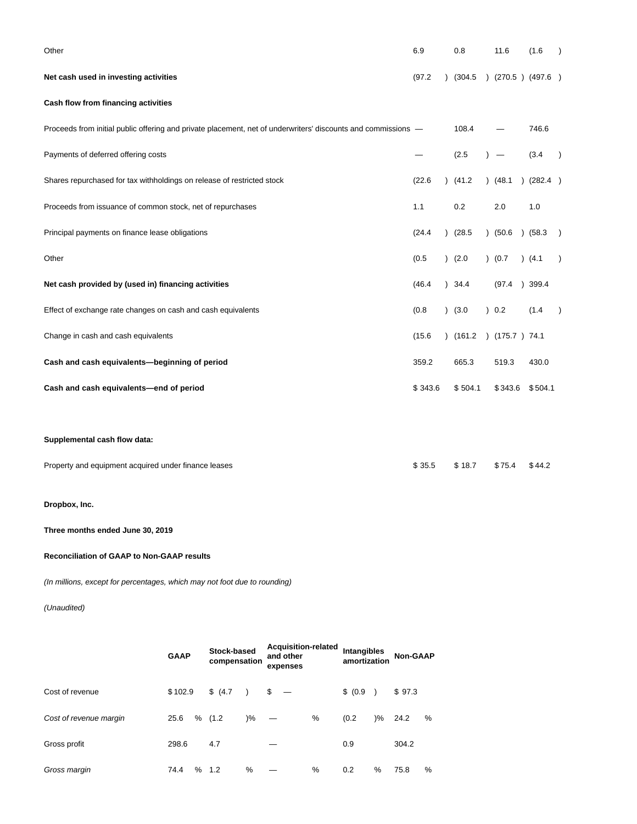| Other                                                                                                         |             |                             |                                                     |                             | 6.9             | 0.8         | 11.6                | (1.6)     | $\lambda$     |
|---------------------------------------------------------------------------------------------------------------|-------------|-----------------------------|-----------------------------------------------------|-----------------------------|-----------------|-------------|---------------------|-----------|---------------|
| Net cash used in investing activities                                                                         |             |                             |                                                     |                             | (97.2)          | $)$ (304.5) | ) (270.5 ) (497.6 ) |           |               |
| Cash flow from financing activities                                                                           |             |                             |                                                     |                             |                 |             |                     |           |               |
| Proceeds from initial public offering and private placement, net of underwriters' discounts and commissions - |             |                             |                                                     |                             |                 | 108.4       |                     | 746.6     |               |
| Payments of deferred offering costs                                                                           |             |                             |                                                     |                             |                 | (2.5)       |                     | (3.4)     | $\rightarrow$ |
| Shares repurchased for tax withholdings on release of restricted stock                                        |             |                             |                                                     |                             | (22.6)          | (41.2)      | (48.1)              | (282.4)   |               |
| Proceeds from issuance of common stock, net of repurchases                                                    |             |                             |                                                     |                             | 1.1             | 0.2         | $2.0\,$             | 1.0       |               |
| Principal payments on finance lease obligations                                                               |             |                             |                                                     |                             | (24.4)          | (28.5)      | $)$ (50.6)          | (58.3)    | $\rightarrow$ |
| Other                                                                                                         |             |                             |                                                     |                             | (0.5)           | (2.0)       | $)$ (0.7)           | $)$ (4.1) | $\lambda$     |
| Net cash provided by (used in) financing activities                                                           |             |                             |                                                     |                             | (46.4)          | ) 34.4      | (97.4)              | ) 399.4   |               |
| Effect of exchange rate changes on cash and cash equivalents                                                  |             |                             |                                                     |                             | (0.8)           | $)$ (3.0)   | 0.2                 | (1.4)     | $\rightarrow$ |
| Change in cash and cash equivalents                                                                           |             |                             |                                                     |                             | (15.6)          | (161.2)     | ) (175.7 ) 74.1     |           |               |
| Cash and cash equivalents-beginning of period                                                                 |             |                             |                                                     |                             | 359.2           | 665.3       | 519.3               | 430.0     |               |
| Cash and cash equivalents-end of period                                                                       |             |                             |                                                     |                             | \$343.6         | \$504.1     | $$343.6$ $$504.1$   |           |               |
|                                                                                                               |             |                             |                                                     |                             |                 |             |                     |           |               |
| Supplemental cash flow data:                                                                                  |             |                             |                                                     |                             |                 |             |                     |           |               |
| Property and equipment acquired under finance leases                                                          |             |                             |                                                     |                             | \$35.5          | \$18.7      | \$75.4              | \$44.2    |               |
|                                                                                                               |             |                             |                                                     |                             |                 |             |                     |           |               |
| Dropbox, Inc.                                                                                                 |             |                             |                                                     |                             |                 |             |                     |           |               |
| Three months ended June 30, 2019                                                                              |             |                             |                                                     |                             |                 |             |                     |           |               |
| <b>Reconciliation of GAAP to Non-GAAP results</b>                                                             |             |                             |                                                     |                             |                 |             |                     |           |               |
| (In millions, except for percentages, which may not foot due to rounding)                                     |             |                             |                                                     |                             |                 |             |                     |           |               |
| (Unaudited)                                                                                                   |             |                             |                                                     |                             |                 |             |                     |           |               |
|                                                                                                               |             |                             |                                                     |                             |                 |             |                     |           |               |
|                                                                                                               | <b>GAAP</b> | Stock-based<br>compensation | <b>Acquisition-related</b><br>and other<br>expenses | Intangibles<br>amortization | <b>Non-GAAP</b> |             |                     |           |               |

| Cost of revenue        | \$102.9        | \$(4.7) | $\lambda$     | $s -$                    |   | \$ (0.9) |               | \$97.3 |      |
|------------------------|----------------|---------|---------------|--------------------------|---|----------|---------------|--------|------|
| Cost of revenue margin | % (1.2<br>25.6 |         | $\frac{9}{6}$ | $\overline{\phantom{0}}$ | % | (0.2)    | $\frac{9}{6}$ | 24.2   | $\%$ |
| Gross profit           | 298.6          | 4.7     |               |                          |   | 0.9      |               | 304.2  |      |
| Gross margin           | 74.4<br>%      | 1.2     | %             |                          | % | 0.2      | %             | 75.8   | %    |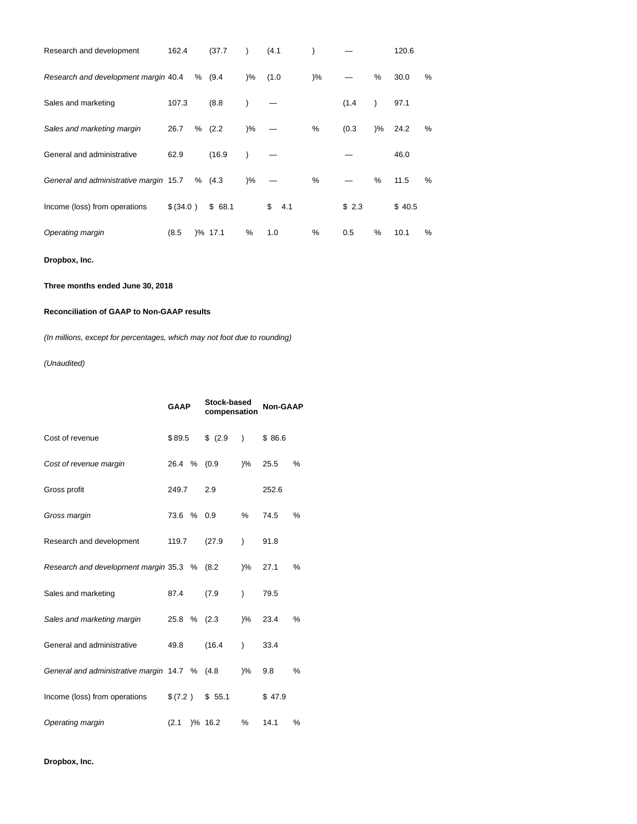| Research and development               | 162.4    |      | (37.7)  |               | (4.1)                |       |       |           | 120.6  |      |
|----------------------------------------|----------|------|---------|---------------|----------------------|-------|-------|-----------|--------|------|
| Research and development margin 40.4   |          |      | % (9.4) | $\frac{9}{6}$ | (1.0)                | $)\%$ |       | %         | 30.0   | %    |
| Sales and marketing                    | 107.3    |      | (8.8)   |               |                      |       | (1.4) | $\lambda$ | 97.1   |      |
| Sales and marketing margin             | 26.7     |      | % (2.2) | $\frac{9}{6}$ |                      | %     | (0.3) | $)\%$     | 24.2   | %    |
| General and administrative             | 62.9     |      | (16.9)  |               |                      |       |       |           | 46.0   |      |
| General and administrative margin 15.7 |          |      | % (4.3  | $\frac{9}{6}$ |                      | %     |       | %         | 11.5   | $\%$ |
| Income (loss) from operations          | \$(34.0) |      | \$68.1  |               | $\mathsf{\$}$<br>4.1 |       | \$2.3 |           | \$40.5 |      |
| Operating margin                       | (8.5)    | $\%$ | 17.1    | %             | 1.0                  | $\%$  | 0.5   | $\%$      | 10.1   | %    |

# **Dropbox, Inc.**

# **Three months ended June 30, 2018**

## **Reconciliation of GAAP to Non-GAAP results**

(In millions, except for percentages, which may not foot due to rounding)

|                                                | <b>GAAP</b>    | Stock-based<br>compensation |                | Non-GAAP |   |
|------------------------------------------------|----------------|-----------------------------|----------------|----------|---|
| Cost of revenue                                | \$89.5         | \$ (2.9)                    | $\overline{)}$ | \$86.6   |   |
| Cost of revenue margin                         | 26.4 % (0.9    |                             | $)\%$          | 25.5     | % |
| Gross profit                                   | 249.7          | 2.9                         |                | 252.6    |   |
| Gross margin                                   | 73.6 % 0.9     |                             | %              | 74.5     | % |
| Research and development                       | 119.7          | $\lambda$<br>(27.9)         |                | 91.8     |   |
| Research and development margin 35.3 % (8.2    |                |                             | $\frac{9}{6}$  | 27.1     | % |
| Sales and marketing                            | 87.4           | $\lambda$<br>(7.9)          |                | 79.5     |   |
| Sales and marketing margin                     | 25.8 % (2.3    |                             | $\frac{9}{6}$  | 23.4     | % |
| General and administrative                     | 49.8           | (16.4<br>$\lambda$          |                | 33.4     |   |
| General and administrative margin 14.7 % (4.8) |                |                             | $\frac{9}{6}$  | 9.8      | % |
| Income (loss) from operations                  | \$(7.2)        | \$55.1                      |                | \$47.9   |   |
| Operating margin                               | $(2.1)$ % 16.2 |                             | %              | 14.1     | % |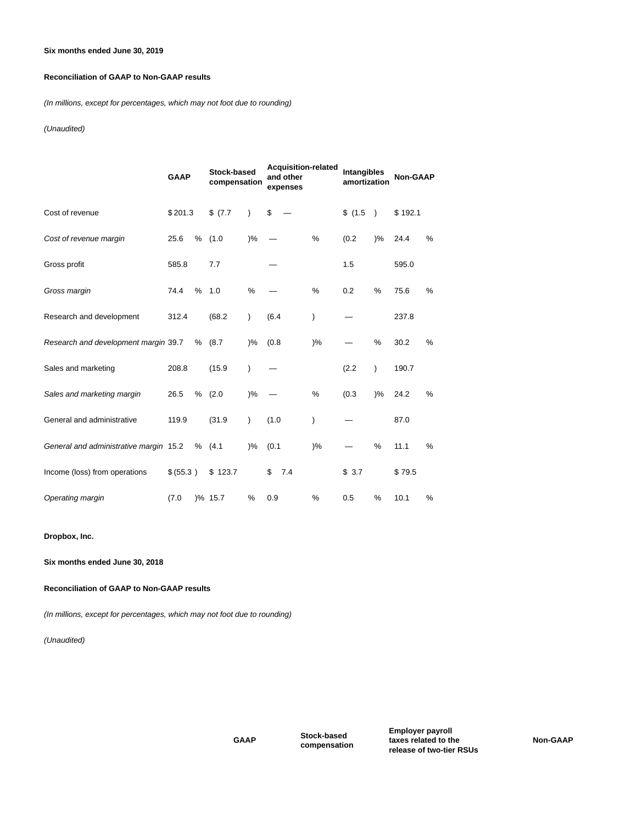# **Six months ended June 30, 2019**

### **Reconciliation of GAAP to Non-GAAP results**

(In millions, except for percentages, which may not foot due to rounding)

### (Unaudited)

|                                        | <b>GAAP</b> |   | <b>Stock-based</b><br>compensation |               | <b>Acquisition-related</b><br>and other<br>expenses | Intangibles<br>amortization |         | <b>Non-GAAP</b> |         |   |
|----------------------------------------|-------------|---|------------------------------------|---------------|-----------------------------------------------------|-----------------------------|---------|-----------------|---------|---|
| Cost of revenue                        | \$201.3     |   | \$ (7.7)                           | $\lambda$     | \$                                                  |                             | \$(1.5) | $\rightarrow$   | \$192.1 |   |
| Cost of revenue margin                 | 25.6        |   | % (1.0)                            | $)\%$         |                                                     | %                           | (0.2)   | $)\%$           | 24.4    | % |
| Gross profit                           | 585.8       |   | 7.7                                |               |                                                     |                             | 1.5     |                 | 595.0   |   |
| Gross margin                           | 74.4        | % | 1.0                                | %             |                                                     | %                           | 0.2     | %               | 75.6    | % |
| Research and development               | 312.4       |   | (68.2)                             | $\mathcal{L}$ | (6.4)                                               | $\mathcal{E}$               |         |                 | 237.8   |   |
| Research and development margin 39.7   |             |   | % (8.7)                            | $)\%$         | (0.8)                                               | )%                          |         | %               | 30.2    | % |
| Sales and marketing                    | 208.8       |   | (15.9)                             | $\mathcal{L}$ |                                                     |                             | (2.2)   | $\lambda$       | 190.7   |   |
| Sales and marketing margin             | 26.5        |   | % (2.0)                            | $)\%$         |                                                     | %                           | (0.3)   | $\frac{9}{6}$   | 24.2    | % |
| General and administrative             | 119.9       |   | (31.9)                             | $\mathcal{L}$ | (1.0)                                               | $\lambda$                   |         |                 | 87.0    |   |
| General and administrative margin 15.2 |             |   | % (4.1)                            | $)\%$         | (0.1)                                               | $)\%$                       |         | %               | 11.1    | % |
| Income (loss) from operations          | \$ (55.3)   |   | \$123.7                            |               | \$<br>7.4                                           |                             | \$3.7   |                 | \$79.5  |   |
| Operating margin                       | (7.0)       |   | )% 15.7                            | %             | 0.9                                                 | %                           | 0.5     | %               | 10.1    | % |

### **Dropbox, Inc.**

**Six months ended June 30, 2018**

### **Reconciliation of GAAP to Non-GAAP results**

(In millions, except for percentages, which may not foot due to rounding)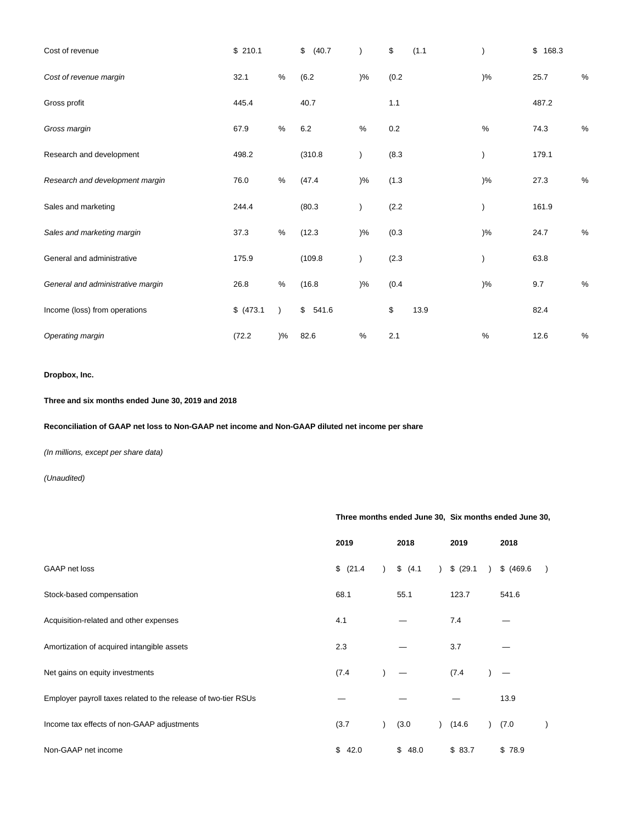| Cost of revenue                   | \$210.1    |       | \$<br>(40.7) | $\mathcal{E}$ | \$    | (1.1) |       | \$168.3 |      |
|-----------------------------------|------------|-------|--------------|---------------|-------|-------|-------|---------|------|
| Cost of revenue margin            | 32.1       | $\%$  | (6.2)        | $)\%$         | (0.2) |       | $)\%$ | 25.7    | $\%$ |
| Gross profit                      | 445.4      |       | 40.7         |               | 1.1   |       |       | 487.2   |      |
| Gross margin                      | 67.9       | $\%$  | 6.2          | $\%$          | 0.2   |       | $\%$  | 74.3    | $\%$ |
| Research and development          | 498.2      |       | (310.8)      | $\mathcal{E}$ | (8.3) |       |       | 179.1   |      |
| Research and development margin   | 76.0       | $\%$  | (47.4)       | $)\%$         | (1.3) |       | $)\%$ | 27.3    | $\%$ |
| Sales and marketing               | 244.4      |       | (80.3)       | $\mathcal{E}$ | (2.2) |       |       | 161.9   |      |
| Sales and marketing margin        | 37.3       | $\%$  | (12.3)       | $)\%$         | (0.3) |       | $)\%$ | 24.7    | $\%$ |
| General and administrative        | 175.9      |       | (109.8)      | $\mathcal{E}$ | (2.3) |       |       | 63.8    |      |
| General and administrative margin | 26.8       | $\%$  | (16.8)       | $)\%$         | (0.4) |       | $)\%$ | 9.7     | $\%$ |
| Income (loss) from operations     | \$ (473.1) |       | \$541.6      |               | \$    | 13.9  |       | 82.4    |      |
| Operating margin                  | (72.2)     | $)\%$ | 82.6         | $\%$          | 2.1   |       | $\%$  | 12.6    | $\%$ |

# **Dropbox, Inc.**

**Three and six months ended June 30, 2019 and 2018**

**Reconciliation of GAAP net loss to Non-GAAP net income and Non-GAAP diluted net income per share**

(In millions, except per share data)

(Unaudited)

|                                                                | Three months chaca banc oo, lork months chacalouncibo, |  |         |  |           |  |                 |  |  |  |
|----------------------------------------------------------------|--------------------------------------------------------|--|---------|--|-----------|--|-----------------|--|--|--|
|                                                                | 2019                                                   |  | 2018    |  | 2019      |  | 2018            |  |  |  |
| GAAP net loss                                                  | \$ (21.4)                                              |  | \$(4.1) |  | \$ (29.1) |  | \$ (469.6)      |  |  |  |
| Stock-based compensation                                       | 68.1                                                   |  | 55.1    |  | 123.7     |  | 541.6           |  |  |  |
| Acquisition-related and other expenses                         | 4.1                                                    |  |         |  | 7.4       |  |                 |  |  |  |
| Amortization of acquired intangible assets                     | 2.3                                                    |  |         |  | 3.7       |  |                 |  |  |  |
| Net gains on equity investments                                | (7.4)                                                  |  |         |  | (7.4)     |  | $\qquad \qquad$ |  |  |  |
| Employer payroll taxes related to the release of two-tier RSUs |                                                        |  |         |  |           |  | 13.9            |  |  |  |
| Income tax effects of non-GAAP adjustments                     | (3.7)                                                  |  | (3.0)   |  | (14.6)    |  | (7.0)           |  |  |  |
| Non-GAAP net income                                            | \$42.0                                                 |  | \$48.0  |  | \$83.7    |  | \$78.9          |  |  |  |

### **Three months ended June 30, Six months ended June 30,**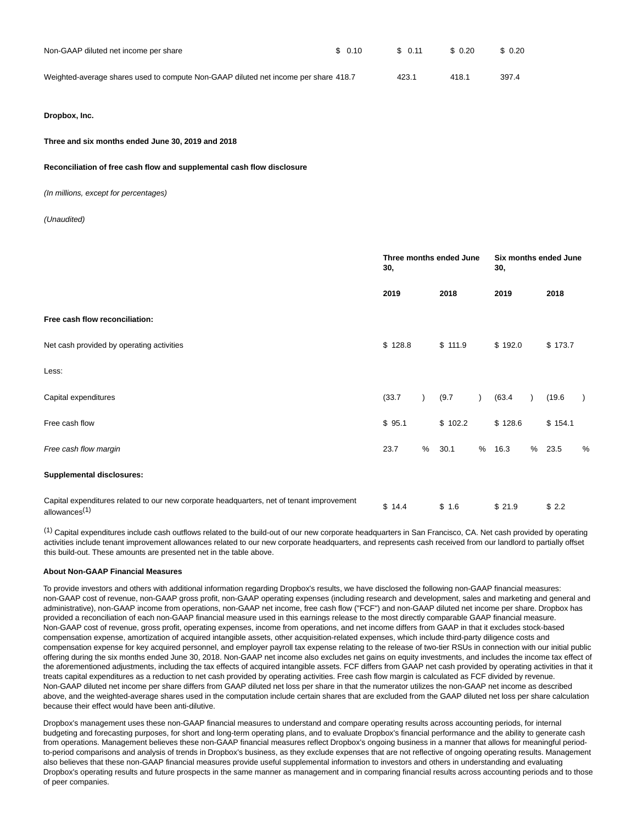| Non-GAAP diluted net income per share                                               | \$ 0.10 | \$ 0.11 | \$ 0.20 | \$0.20 |
|-------------------------------------------------------------------------------------|---------|---------|---------|--------|
| Weighted-average shares used to compute Non-GAAP diluted net income per share 418.7 |         | 423.1   | 418.1   | 397.4  |

### **Dropbox, Inc.**

### **Three and six months ended June 30, 2019 and 2018**

### **Reconciliation of free cash flow and supplemental cash flow disclosure**

### (In millions, except for percentages)

### (Unaudited)

|                                                                                                                        | Three months ended June<br>30, |   |         |   | Six months ended June<br>30, |   |         |               |  |
|------------------------------------------------------------------------------------------------------------------------|--------------------------------|---|---------|---|------------------------------|---|---------|---------------|--|
|                                                                                                                        | 2019                           |   | 2018    |   | 2019                         |   | 2018    |               |  |
| Free cash flow reconciliation:                                                                                         |                                |   |         |   |                              |   |         |               |  |
| Net cash provided by operating activities                                                                              | \$128.8                        |   | \$111.9 |   | \$192.0                      |   | \$173.7 |               |  |
| Less:                                                                                                                  |                                |   |         |   |                              |   |         |               |  |
| Capital expenditures                                                                                                   | (33.7)                         |   | (9.7)   |   | (63.4)                       |   | (19.6)  | $\rightarrow$ |  |
| Free cash flow                                                                                                         | \$95.1                         |   | \$102.2 |   | \$128.6                      |   | \$154.1 |               |  |
| Free cash flow margin                                                                                                  | 23.7                           | % | 30.1    | % | 16.3                         | % | 23.5    | %             |  |
| <b>Supplemental disclosures:</b>                                                                                       |                                |   |         |   |                              |   |         |               |  |
| Capital expenditures related to our new corporate headquarters, net of tenant improvement<br>allowances <sup>(1)</sup> | \$14.4                         |   | \$1.6   |   | \$21.9                       |   | \$2.2   |               |  |

<sup>(1)</sup> Capital expenditures include cash outflows related to the build-out of our new corporate headquarters in San Francisco, CA. Net cash provided by operating activities include tenant improvement allowances related to our new corporate headquarters, and represents cash received from our landlord to partially offset this build-out. These amounts are presented net in the table above.

### **About Non-GAAP Financial Measures**

To provide investors and others with additional information regarding Dropbox's results, we have disclosed the following non-GAAP financial measures: non-GAAP cost of revenue, non-GAAP gross profit, non-GAAP operating expenses (including research and development, sales and marketing and general and administrative), non-GAAP income from operations, non-GAAP net income, free cash flow ("FCF") and non-GAAP diluted net income per share. Dropbox has provided a reconciliation of each non-GAAP financial measure used in this earnings release to the most directly comparable GAAP financial measure. Non-GAAP cost of revenue, gross profit, operating expenses, income from operations, and net income differs from GAAP in that it excludes stock-based compensation expense, amortization of acquired intangible assets, other acquisition-related expenses, which include third-party diligence costs and compensation expense for key acquired personnel, and employer payroll tax expense relating to the release of two-tier RSUs in connection with our initial public offering during the six months ended June 30, 2018. Non-GAAP net income also excludes net gains on equity investments, and includes the income tax effect of the aforementioned adjustments, including the tax effects of acquired intangible assets. FCF differs from GAAP net cash provided by operating activities in that it treats capital expenditures as a reduction to net cash provided by operating activities. Free cash flow margin is calculated as FCF divided by revenue. Non-GAAP diluted net income per share differs from GAAP diluted net loss per share in that the numerator utilizes the non-GAAP net income as described above, and the weighted-average shares used in the computation include certain shares that are excluded from the GAAP diluted net loss per share calculation because their effect would have been anti-dilutive.

Dropbox's management uses these non-GAAP financial measures to understand and compare operating results across accounting periods, for internal budgeting and forecasting purposes, for short and long-term operating plans, and to evaluate Dropbox's financial performance and the ability to generate cash from operations. Management believes these non-GAAP financial measures reflect Dropbox's ongoing business in a manner that allows for meaningful periodto-period comparisons and analysis of trends in Dropbox's business, as they exclude expenses that are not reflective of ongoing operating results. Management also believes that these non-GAAP financial measures provide useful supplemental information to investors and others in understanding and evaluating Dropbox's operating results and future prospects in the same manner as management and in comparing financial results across accounting periods and to those of peer companies.